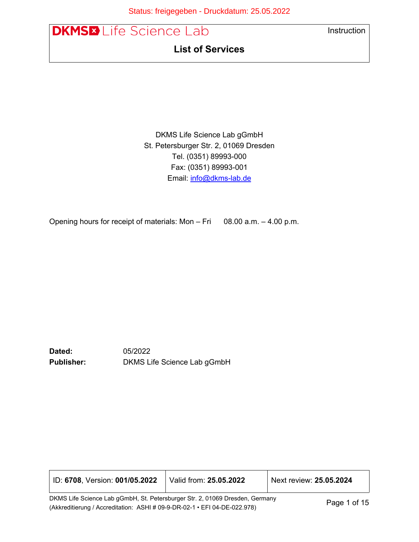Úcae: «K4^ã^\*^à^} ÆÄÖI" & åæë { KKGÍ EEÍ EGEGG



DKMS Life Science Lab gGmbH St. Petersburger Str. 2, 01069 Dresden Tel. (0351) 89993-000 Fax: (0351) 89993-001 Email: [info@dkms-lab.de](mailto:info@dkms-lab.de)

Opening hours for receipt of materials: Mon – Fri 08.00 a.m. – 4.00 p.m.

**Dated:** 05/2022 **Publisher:** DKMS Life Science Lab gGmbH

| ID: 6708, Version: 001/05.2022                                               | Valid from: 25.05.2022 | Next review: 25.05.2024 |
|------------------------------------------------------------------------------|------------------------|-------------------------|
| DKMS Life Science Lab gGmbH, St. Petersburger Str. 2, 01069 Dresden, Germany |                        | Page 1 of $15$          |

(Akkreditierung / Accreditation: ASHI # 09-9-DR-02-1 • EFI 04-DE-022.978) Page 1 of 15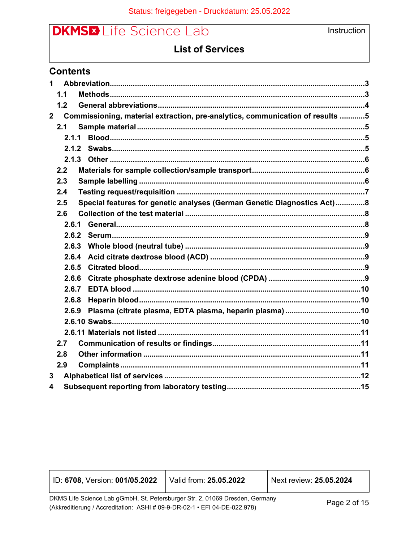

## **List of Services**

### **Contents**

| 1              |       |                                                                               |
|----------------|-------|-------------------------------------------------------------------------------|
|                | 1.1   |                                                                               |
|                | 1.2   |                                                                               |
| $\overline{2}$ |       | Commissioning, material extraction, pre-analytics, communication of results 5 |
|                | 2.1   |                                                                               |
|                | 2.1.1 |                                                                               |
|                | 2.1.2 |                                                                               |
|                |       |                                                                               |
|                | 2.2   |                                                                               |
|                | 2.3   |                                                                               |
|                | 2.4   |                                                                               |
|                | 2.5   | Special features for genetic analyses (German Genetic Diagnostics Act)8       |
|                | 2.6   |                                                                               |
|                | 2.6.1 |                                                                               |
|                | 2.6.2 |                                                                               |
|                | 2.6.3 |                                                                               |
|                | 2.6.4 |                                                                               |
|                | 2.6.5 |                                                                               |
|                | 2.6.6 |                                                                               |
|                | 2.6.7 |                                                                               |
|                | 2.6.8 |                                                                               |
|                | 2.6.9 |                                                                               |
|                |       |                                                                               |
|                |       |                                                                               |
|                | 2.7   |                                                                               |
|                | 2.8   |                                                                               |
|                | 2.9   |                                                                               |
| 3              |       |                                                                               |
| 4              |       |                                                                               |

| ID: 6708, Version: 001/05.2022                                               | Valid from: 25.05.2022 | Next review: 25.05.2024 |
|------------------------------------------------------------------------------|------------------------|-------------------------|
| DKMS Life Science Lab gGmbH, St. Petersburger Str. 2, 01069 Dresden, Germany |                        | $D_{0}$ ao $2$ of 15    |

(Akkreditierung / Accreditation: ASHI # 09-9-DR-02-1 • EFI 04-DE-022.978)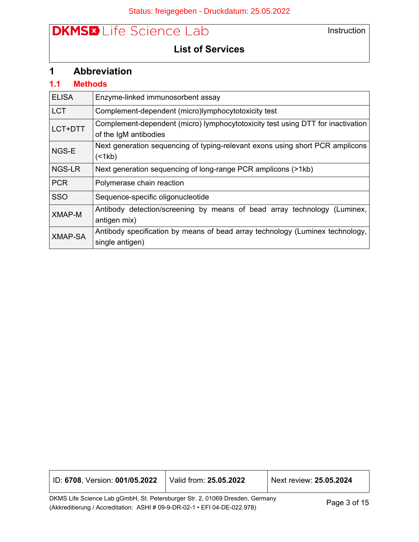Instruction

# **List of Services**

## <span id="page-2-0"></span>**1 Abbreviation**

### <span id="page-2-1"></span>**1.1 Methods**

| <b>ELISA</b>   | Enzyme-linked immunosorbent assay                                                                        |
|----------------|----------------------------------------------------------------------------------------------------------|
| <b>LCT</b>     | Complement-dependent (micro)lymphocytotoxicity test                                                      |
| LCT+DTT        | Complement-dependent (micro) lymphocytotoxicity test using DTT for inactivation<br>of the IgM antibodies |
| NGS-E          | Next generation sequencing of typing-relevant exons using short PCR amplicons<br>(<1kb)                  |
| NGS-LR         | Next generation sequencing of long-range PCR amplicons (>1kb)                                            |
| <b>PCR</b>     | Polymerase chain reaction                                                                                |
| <b>SSO</b>     | Sequence-specific oligonucleotide                                                                        |
| <b>XMAP-M</b>  | Antibody detection/screening by means of bead array technology (Luminex,<br>antigen mix)                 |
| <b>XMAP-SA</b> | Antibody specification by means of bead array technology (Luminex technology,<br>single antigen)         |

| D: 6708, Version: 001/05.2022 | Valid from: 25.05.2022 | Next review: 25.05.2024 |
|-------------------------------|------------------------|-------------------------|
|                               |                        |                         |

DKMS Life Science Lab gGmbH, St. Petersburger Str. 2, 01069 Dresden, Germany DRMS Lile Science Lab gGmbH, St. Petersburger Str. 2, 01069 Dresden, Germany<br>(Akkreditierung / Accreditation: ASHI # 09-9-DR-02-1 • EFI 04-DE-022.978)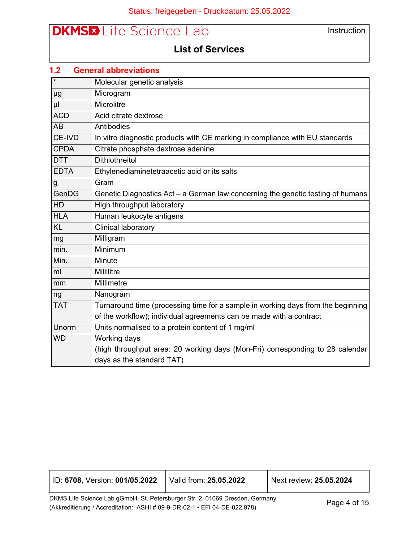Instruction

## **List of Services**

<span id="page-3-0"></span>

| 1.2         | <b>General abbreviations</b>                                                     |
|-------------|----------------------------------------------------------------------------------|
| $\star$     | Molecular genetic analysis                                                       |
| μg          | Microgram                                                                        |
| $\mu$       | Microlitre                                                                       |
| <b>ACD</b>  | Acid citrate dextrose                                                            |
| <b>AB</b>   | Antibodies                                                                       |
| CE-IVD      | In vitro diagnostic products with CE marking in compliance with EU standards     |
| <b>CPDA</b> | Citrate phosphate dextrose adenine                                               |
| DTT         | <b>Dithiothreitol</b>                                                            |
| <b>EDTA</b> | Ethylenediaminetetraacetic acid or its salts                                     |
| g           | Gram                                                                             |
| GenDG       | Genetic Diagnostics Act - a German law concerning the genetic testing of humans  |
| HD          | High throughput laboratory                                                       |
| <b>HLA</b>  | Human leukocyte antigens                                                         |
| <b>KL</b>   | Clinical laboratory                                                              |
| mg          | Milligram                                                                        |
| min.        | Minimum                                                                          |
| Min.        | Minute                                                                           |
| ml          | Millilitre                                                                       |
| mm          | Millimetre                                                                       |
| ng          | Nanogram                                                                         |
| <b>TAT</b>  | Turnaround time (processing time for a sample in working days from the beginning |
|             | of the workflow); individual agreements can be made with a contract              |
| Unorm       | Units normalised to a protein content of 1 mg/ml                                 |
| <b>WD</b>   | Working days                                                                     |
|             | (high throughput area: 20 working days (Mon-Fri) corresponding to 28 calendar    |
|             | days as the standard TAT)                                                        |

| ID: 6708, Version: 001/05.2022                                                 | Valid from: <b>25.05.2022</b> | Next review: 25.05.2024 |
|--------------------------------------------------------------------------------|-------------------------------|-------------------------|
| DICALE Life Coinnea Lab aCmbU, Ct. Deteroburger Ctr. 2, 04060 Dreaden, Cermany |                               |                         |

DKMS Life Science Lab gGmbH, St. Petersburger Str. 2, 01069 Dresden, Germany DRMS Lile Science Lab gGmbH, St. Petersburger Str. 2, 01069 Dresden, Germany<br>(Akkreditierung / Accreditation: ASHI # 09-9-DR-02-1 • EFI 04-DE-022.978)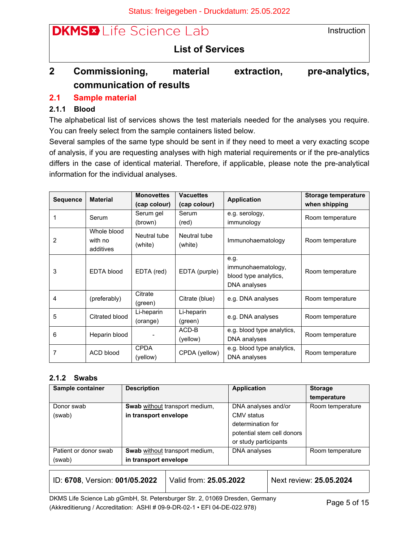$\bigcup_{x\in\mathbb{R}}\text{Ext}^2(A)$  and  $\bigcap_{x\in\mathbb{R}}\mathbb{Z}$  and  $\bigcup_{x\in\mathbb{R}}\text{Ext}^2(B)$  and  $\bigcup_{x\in\mathbb{R}}\text{Ext}^2(B)$ 

| <b>DKMSED</b> Life Science Lab | Instruction |
|--------------------------------|-------------|
| <b>List of Services</b>        |             |

# <span id="page-4-0"></span>**2 Commissioning, material extraction, pre-analytics, communication of results**

## <span id="page-4-1"></span>**2.1 Sample material**

## <span id="page-4-2"></span>**2.1.1 Blood**

The alphabetical list of services shows the test materials needed for the analyses you require. You can freely select from the sample containers listed below.

Several samples of the same type should be sent in if they need to meet a very exacting scope of analysis, if you are requesting analyses with high material requirements or if the pre-analytics differs in the case of identical material. Therefore, if applicable, please note the pre-analytical information for the individual analyses.

| <b>Sequence</b> | <b>Material</b>                     | <b>Monovettes</b><br>(cap colour) | <b>Vacuettes</b><br>(cap colour) | <b>Application</b>                                                  | Storage temperature<br>when shipping |
|-----------------|-------------------------------------|-----------------------------------|----------------------------------|---------------------------------------------------------------------|--------------------------------------|
|                 | Serum                               | Serum gel<br>(brown)              | Serum<br>(red)                   | e.g. serology,<br>immunology                                        | Room temperature                     |
| $\overline{2}$  | Whole blood<br>with no<br>additives | Neutral tube<br>(white)           | Neutral tube<br>(white)          | Immunohaematology                                                   | Room temperature                     |
| 3               | <b>EDTA blood</b>                   | EDTA (red)                        | EDTA (purple)                    | e.g.<br>immunohaematology,<br>blood type analytics,<br>DNA analyses | Room temperature                     |
| 4               | (preferably)                        | Citrate<br>(green)                | Citrate (blue)                   | e.g. DNA analyses                                                   | Room temperature                     |
| 5               | Citrated blood                      | Li-heparin<br>(orange)            | Li-heparin<br>(green)            | e.g. DNA analyses                                                   | Room temperature                     |
| 6               | Heparin blood                       |                                   | ACD-B<br>(yellow)                | e.g. blood type analytics,<br>DNA analyses                          | Room temperature                     |
| 7               | ACD blood                           | <b>CPDA</b><br>(yellow)           | CPDA (yellow)                    | e.g. blood type analytics,<br>DNA analyses                          | Room temperature                     |

### <span id="page-4-3"></span>**2.1.2 Swabs**

| Sample container      | <b>Description</b>                    | <b>Application</b>         | <b>Storage</b>   |
|-----------------------|---------------------------------------|----------------------------|------------------|
|                       |                                       |                            | temperature      |
| Donor swab            | <b>Swab</b> without transport medium, | DNA analyses and/or        | Room temperature |
| (swab)                | in transport envelope                 | CMV status                 |                  |
|                       |                                       | determination for          |                  |
|                       |                                       | potential stem cell donors |                  |
|                       |                                       | or study participants      |                  |
| Patient or donor swab | <b>Swab</b> without transport medium, | DNA analyses               | Room temperature |
| (swab)                | in transport envelope                 |                            |                  |

| ID: 6708, Version: 001/05.2022                                               | Valid from: 25.05.2022 | Next review: 25.05.2024 |
|------------------------------------------------------------------------------|------------------------|-------------------------|
| DKMS Life Sejence Leb aCmbH, St. Deteroburger Str. 2, 01060 Dreaden, Cermany |                        |                         |

DKMS Life Science Lab gGmbH, St. Petersburger Str. 2, 01069 Dresden, Germany Drivid Life Science Lab germon, St. 1 etersburger Str. 2, 01009 Dresden, Germany<br>(Akkreditierung / Accreditation: ASHI # 09-9-DR-02-1 • EFI 04-DE-022.978)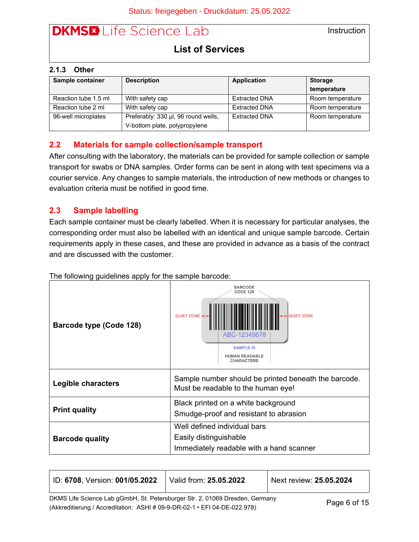**Instruction** 

## **List of Services**

#### <span id="page-5-0"></span>**2.1.3 Other**

| Sample container<br><b>Description</b> |                                     | <b>Application</b>   | <b>Storage</b>   |
|----------------------------------------|-------------------------------------|----------------------|------------------|
|                                        |                                     |                      | temperature      |
| Reaction tube 1.5 ml                   | With safety cap                     | <b>Extracted DNA</b> | Room temperature |
| Reaction tube 2 ml                     | With safety cap                     | <b>Extracted DNA</b> | Room temperature |
| 96-well microplates                    | Preferably: 330 µl, 96 round wells, | <b>Extracted DNA</b> | Room temperature |
|                                        | V-bottom plate, polypropylene       |                      |                  |

#### <span id="page-5-1"></span>**2.2 Materials for sample collection/sample transport**

After consulting with the laboratory, the materials can be provided for sample collection or sample transport for swabs or DNA samples. Order forms can be sent in along with test specimens via a courier service. Any changes to sample materials, the introduction of new methods or changes to evaluation criteria must be notified in good time.

### <span id="page-5-2"></span>**2.3 Sample labelling**

Each sample container must be clearly labelled. When it is necessary for particular analyses, the corresponding order must also be labelled with an identical and unique sample barcode. Certain requirements apply in these cases, and these are provided in advance as a basis of the contract and are discussed with the customer.

| Barcode type (Code 128)   | <b>BARCODE</b><br><b>CODE 128</b><br>QUIET ZONE ←<br>ANQUIET ZONE<br>ABC-12345678<br><b>SAMPLE ID</b><br><b>HUMAN READABLE</b><br><b>CHARACTERS</b> |  |
|---------------------------|-----------------------------------------------------------------------------------------------------------------------------------------------------|--|
| <b>Legible characters</b> | Sample number should be printed beneath the barcode.<br>Must be readable to the human eye!                                                          |  |
| <b>Print quality</b>      | Black printed on a white background<br>Smudge-proof and resistant to abrasion                                                                       |  |
| <b>Barcode quality</b>    | Well defined individual bars<br>Easily distinguishable<br>Immediately readable with a hand scanner                                                  |  |

The following guidelines apply for the sample barcode:

| ID: 6708, Version: 001/05.2022                                               | Valid from: 25.05.2022 | Next review: 25.05.2024 |
|------------------------------------------------------------------------------|------------------------|-------------------------|
| DKMS Life Science Lab gGmbH, St. Petersburger Str. 2, 01069 Dresden, Germany |                        | $D = \cdots$ $D = I$    |

Ethio End Science East gomethy, St. 1 distributing on the procedurity connecting Page 6 of 15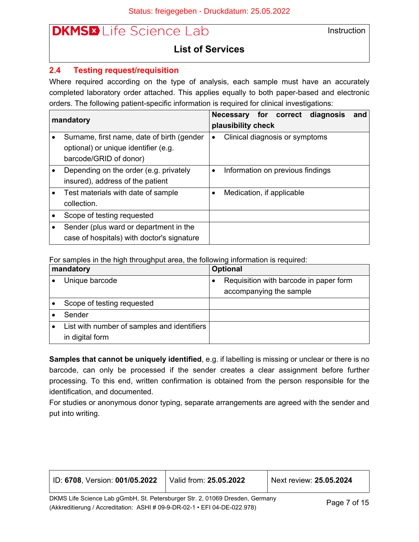Instruction

## **List of Services**

#### <span id="page-6-0"></span>**2.4 Testing request/requisition**

Where required according on the type of analysis, each sample must have an accurately completed laboratory order attached. This applies equally to both paper-based and electronic orders. The following patient-specific information is required for clinical investigations:

| mandatory |                                            |                                             | plausibility check |  |                                  | Necessary for correct diagnosis | and |
|-----------|--------------------------------------------|---------------------------------------------|--------------------|--|----------------------------------|---------------------------------|-----|
|           | Surname, first name, date of birth (gender | Clinical diagnosis or symptoms<br>$\bullet$ |                    |  |                                  |                                 |     |
|           | optional) or unique identifier (e.g.       |                                             |                    |  |                                  |                                 |     |
|           | barcode/GRID of donor)                     |                                             |                    |  |                                  |                                 |     |
|           | Depending on the order (e.g. privately     | $\bullet$                                   |                    |  | Information on previous findings |                                 |     |
|           | insured), address of the patient           |                                             |                    |  |                                  |                                 |     |
|           | Test materials with date of sample         |                                             |                    |  | Medication, if applicable        |                                 |     |
|           | collection.                                |                                             |                    |  |                                  |                                 |     |
|           | Scope of testing requested                 |                                             |                    |  |                                  |                                 |     |
|           | Sender (plus ward or department in the     |                                             |                    |  |                                  |                                 |     |
|           | case of hospitals) with doctor's signature |                                             |                    |  |                                  |                                 |     |

For samples in the high throughput area, the following information is required:

| mandatory                                                      |  | <b>Optional</b>                                                   |  |  |
|----------------------------------------------------------------|--|-------------------------------------------------------------------|--|--|
| Unique barcode                                                 |  | Requisition with barcode in paper form<br>accompanying the sample |  |  |
| Scope of testing requested                                     |  |                                                                   |  |  |
| Sender                                                         |  |                                                                   |  |  |
| List with number of samples and identifiers<br>in digital form |  |                                                                   |  |  |

**Samples that cannot be uniquely identified**, e.g. if labelling is missing or unclear or there is no barcode, can only be processed if the sender creates a clear assignment before further processing. To this end, written confirmation is obtained from the person responsible for the identification, and documented.

For studies or anonymous donor typing, separate arrangements are agreed with the sender and put into writing.

| ID: 6708, Version: 001/05.2022                                               | Valid from: 25.05.2022     | Next review: 25.05.2024 |
|------------------------------------------------------------------------------|----------------------------|-------------------------|
| DKMS Life Science Lab gGmbH, St. Petersburger Str. 2, 01069 Dresden, Germany | $P$ <sub>200</sub> 7 of 15 |                         |

(Akkreditierung / Accreditation: ASHI # 09-9-DR-02-1 • EFI 04-DE-022.978) Page 7 of 15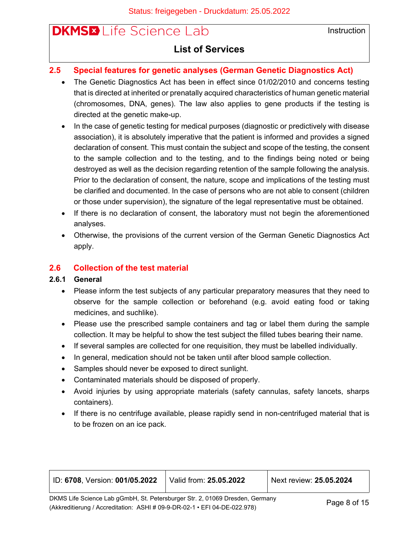**Instruction** 

## **List of Services**

### <span id="page-7-0"></span>**2.5 Special features for genetic analyses (German Genetic Diagnostics Act)**

- The Genetic Diagnostics Act has been in effect since 01/02/2010 and concerns testing that is directed at inherited or prenatally acquired characteristics of human genetic material (chromosomes, DNA, genes). The law also applies to gene products if the testing is directed at the genetic make-up.
- In the case of genetic testing for medical purposes (diagnostic or predictively with disease association), it is absolutely imperative that the patient is informed and provides a signed declaration of consent. This must contain the subject and scope of the testing, the consent to the sample collection and to the testing, and to the findings being noted or being destroyed as well as the decision regarding retention of the sample following the analysis. Prior to the declaration of consent, the nature, scope and implications of the testing must be clarified and documented. In the case of persons who are not able to consent (children or those under supervision), the signature of the legal representative must be obtained.
- If there is no declaration of consent, the laboratory must not begin the aforementioned analyses.
- Otherwise, the provisions of the current version of the German Genetic Diagnostics Act apply.

#### <span id="page-7-1"></span>**2.6 Collection of the test material**

#### <span id="page-7-2"></span>**2.6.1 General**

- Please inform the test subjects of any particular preparatory measures that they need to observe for the sample collection or beforehand (e.g. avoid eating food or taking medicines, and suchlike).
- Please use the prescribed sample containers and tag or label them during the sample collection. It may be helpful to show the test subject the filled tubes bearing their name.
- If several samples are collected for one requisition, they must be labelled individually.
- In general, medication should not be taken until after blood sample collection.
- Samples should never be exposed to direct sunlight.
- Contaminated materials should be disposed of properly.
- Avoid injuries by using appropriate materials (safety cannulas, safety lancets, sharps containers).
- If there is no centrifuge available, please rapidly send in non-centrifuged material that is to be frozen on an ice pack.

| ID: 6708, Version: 001/05.2022                                               | Valid from: 25.05.2022 | Next review: 25.05.2024 |
|------------------------------------------------------------------------------|------------------------|-------------------------|
| DKMS Life Science Lab gGmbH, St. Petersburger Str. 2, 01069 Dresden, Germany |                        | $D = 0.5$               |

(Akkreditierung / Accreditation: ASHI # 09-9-DR-02-1 • EFI 04-DE-022.978) Page 8 of 15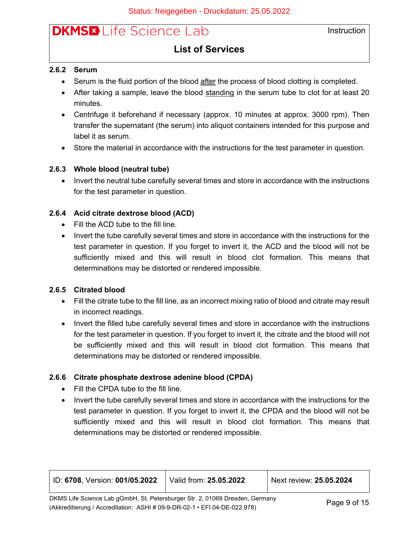**Instruction** 

### **List of Services**

#### <span id="page-8-0"></span>**2.6.2 Serum**

- Serum is the fluid portion of the blood after the process of blood clotting is completed.
- After taking a sample, leave the blood standing in the serum tube to clot for at least 20 minutes.
- Centrifuge it beforehand if necessary (approx. 10 minutes at approx. 3000 rpm). Then transfer the supernatant (the serum) into aliquot containers intended for this purpose and label it as serum.
- Store the material in accordance with the instructions for the test parameter in question.

#### <span id="page-8-1"></span>**2.6.3 Whole blood (neutral tube)**

• Invert the neutral tube carefully several times and store in accordance with the instructions for the test parameter in question.

#### <span id="page-8-2"></span>**2.6.4 Acid citrate dextrose blood (ACD)**

- Fill the ACD tube to the fill line.
- Invert the tube carefully several times and store in accordance with the instructions for the test parameter in question. If you forget to invert it, the ACD and the blood will not be sufficiently mixed and this will result in blood clot formation. This means that determinations may be distorted or rendered impossible.

#### <span id="page-8-3"></span>**2.6.5 Citrated blood**

- Fill the citrate tube to the fill line, as an incorrect mixing ratio of blood and citrate may result in incorrect readings.
- Invert the filled tube carefully several times and store in accordance with the instructions for the test parameter in question. If you forget to invert it, the citrate and the blood will not be sufficiently mixed and this will result in blood clot formation. This means that determinations may be distorted or rendered impossible.

#### <span id="page-8-4"></span>**2.6.6 Citrate phosphate dextrose adenine blood (CPDA)**

- Fill the CPDA tube to the fill line.
- Invert the tube carefully several times and store in accordance with the instructions for the test parameter in question. If you forget to invert it, the CPDA and the blood will not be sufficiently mixed and this will result in blood clot formation. This means that determinations may be distorted or rendered impossible.

| D: 6708, Version: 001/05.2022                                                | Valid from: <b>25.05.2022</b> | Next review: 25.05.2024 |
|------------------------------------------------------------------------------|-------------------------------|-------------------------|
| DKMS Life Science Lab gGmbH, St. Petersburger Str. 2, 01069 Dresden, Germany |                               |                         |
| (Akkreditierung / Accreditation: ASHI # 09-9-DR-02-1 • EFI 04-DE-022.978)    |                               | Page 9 of 15            |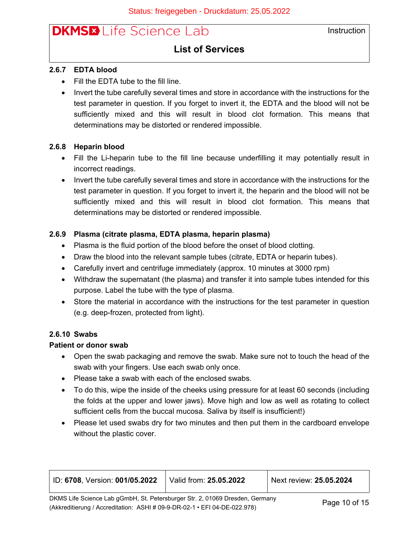### **List of Services**

#### <span id="page-9-0"></span>**2.6.7 EDTA blood**

- Fill the EDTA tube to the fill line.
- Invert the tube carefully several times and store in accordance with the instructions for the test parameter in question. If you forget to invert it, the EDTA and the blood will not be sufficiently mixed and this will result in blood clot formation. This means that determinations may be distorted or rendered impossible.

#### <span id="page-9-1"></span>**2.6.8 Heparin blood**

- Fill the Li-heparin tube to the fill line because underfilling it may potentially result in incorrect readings.
- Invert the tube carefully several times and store in accordance with the instructions for the test parameter in question. If you forget to invert it, the heparin and the blood will not be sufficiently mixed and this will result in blood clot formation. This means that determinations may be distorted or rendered impossible.

#### <span id="page-9-2"></span>**2.6.9 Plasma (citrate plasma, EDTA plasma, heparin plasma)**

- Plasma is the fluid portion of the blood before the onset of blood clotting.
- Draw the blood into the relevant sample tubes (citrate, EDTA or heparin tubes).
- Carefully invert and centrifuge immediately (approx. 10 minutes at 3000 rpm)
- Withdraw the supernatant (the plasma) and transfer it into sample tubes intended for this purpose. Label the tube with the type of plasma.
- Store the material in accordance with the instructions for the test parameter in question (e.g. deep-frozen, protected from light).

#### <span id="page-9-3"></span>**2.6.10 Swabs**

#### **Patient or donor swab**

- Open the swab packaging and remove the swab. Make sure not to touch the head of the swab with your fingers. Use each swab only once.
- Please take a swab with each of the enclosed swabs.
- To do this, wipe the inside of the cheeks using pressure for at least 60 seconds (including the folds at the upper and lower jaws). Move high and low as well as rotating to collect sufficient cells from the buccal mucosa. Saliva by itself is insufficient!)
- Please let used swabs dry for two minutes and then put them in the cardboard envelope without the plastic cover.

| │ ID: <b>6708. Version: 001/05.2022</b>                                      | Valid from: 25.05.2022 | Next review: 25.05.2024 |
|------------------------------------------------------------------------------|------------------------|-------------------------|
| DKMS Life Science Lab gGmbH, St. Petersburger Str. 2, 01069 Dresden, Germany |                        | $P$ age 10 of 15        |

(Akkreditierung / Accreditation: ASHI # 09-9-DR-02-1 • EFI 04-DE-022.978) Page 10 of 15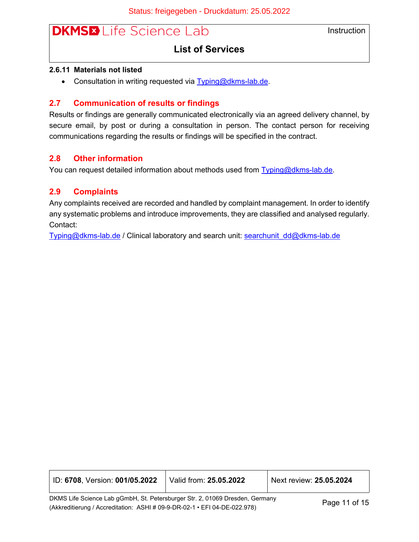**Instruction** 

### **List of Services**

#### <span id="page-10-0"></span>**2.6.11 Materials not listed**

• Consultation in writing requested via [Typing@dkms-lab.de.](mailto:Typing@dkms-lab.de)

#### <span id="page-10-1"></span>**2.7 Communication of results or findings**

Results or findings are generally communicated electronically via an agreed delivery channel, by secure email, by post or during a consultation in person. The contact person for receiving communications regarding the results or findings will be specified in the contract.

#### <span id="page-10-2"></span>**2.8 Other information**

You can request detailed information about methods used from [Typing@dkms-lab.de](mailto:Typing@dkms-lab.de).

#### <span id="page-10-3"></span>**2.9 Complaints**

Any complaints received are recorded and handled by complaint management. In order to identify any systematic problems and introduce improvements, they are classified and analysed regularly. Contact:

[Typing@dkms-lab.de](mailto:Typing@dkms-lab.de) / Clinical laboratory and search unit: [searchunit\\_dd@dkms-lab.de](mailto:searchunit_dd@dkms-lab.de)

| ID: 6708, Version: 001/05.2022 | Valid from: 25.05.2022 | $^{\prime}$ Next review: 25.05.2024 |
|--------------------------------|------------------------|-------------------------------------|
|--------------------------------|------------------------|-------------------------------------|

DKMS Life Science Lab gGmbH, St. Petersburger Str. 2, 01069 Dresden, Germany Ertific End Solditor Eab gentler, of a clear state gentler, on the constant of the condition of the condition: ASHI # 09-9-DR-02-1 • EFI 04-DE-022.978)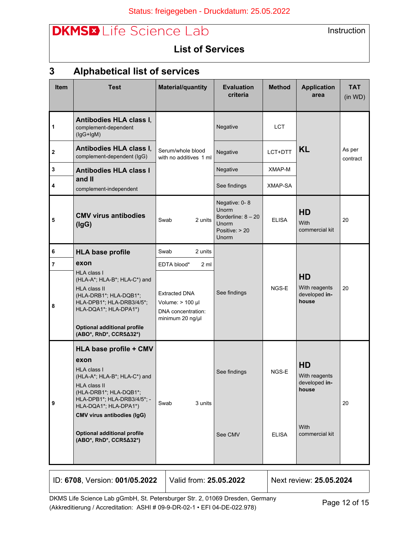Instruction

## **List of Services**

# <span id="page-11-0"></span>**3 Alphabetical list of services**

| <b>Item</b>    | <b>Test</b>                                                                                                                                                                                                                                                                                        | <b>Material/quantity</b>                                                             | <b>Evaluation</b><br>criteria                                                               | <b>Method</b>         | <b>Application</b><br>area                                                     | <b>TAT</b><br>(in WD) |
|----------------|----------------------------------------------------------------------------------------------------------------------------------------------------------------------------------------------------------------------------------------------------------------------------------------------------|--------------------------------------------------------------------------------------|---------------------------------------------------------------------------------------------|-----------------------|--------------------------------------------------------------------------------|-----------------------|
| 1              | Antibodies HLA class I,<br>complement-dependent<br>$(lgG+lgM)$                                                                                                                                                                                                                                     |                                                                                      | Negative                                                                                    | <b>LCT</b>            |                                                                                |                       |
| $\mathbf 2$    | Antibodies HLA class I,<br>complement-dependent (IgG)                                                                                                                                                                                                                                              | Serum/whole blood<br>with no additives 1 ml                                          | Negative                                                                                    | LCT+DTT               | <b>KL</b>                                                                      | As per<br>contract    |
| 3              | <b>Antibodies HLA class I</b><br>and II                                                                                                                                                                                                                                                            |                                                                                      | Negative                                                                                    | XMAP-M                |                                                                                |                       |
| 4              | complement-independent                                                                                                                                                                                                                                                                             |                                                                                      | See findings                                                                                | XMAP-SA               |                                                                                |                       |
| 5              | <b>CMV virus antibodies</b><br>(lgG)                                                                                                                                                                                                                                                               | 2 units<br>Swab                                                                      | Negative: 0-8<br><b>Unorm</b><br>Borderline: $8 - 20$<br>Unorm<br>Positive: $> 20$<br>Unorm | <b>ELISA</b>          | <b>HD</b><br>With<br>commercial kit                                            | 20                    |
| 6              | <b>HLA base profile</b>                                                                                                                                                                                                                                                                            | Swab<br>2 units                                                                      |                                                                                             |                       |                                                                                |                       |
| $\overline{7}$ | exon                                                                                                                                                                                                                                                                                               | EDTA blood*<br>2 ml                                                                  |                                                                                             |                       |                                                                                |                       |
| 8              | <b>HLA class I</b><br>(HLA-A*; HLA-B*; HLA-C*) and<br><b>HLA class II</b><br>(HLA-DRB1*; HLA-DQB1*;<br>HLA-DPB1*; HLA-DRB3/4/5*;<br>HLA-DQA1*; HLA-DPA1*)<br><b>Optional additional profile</b><br>(ABO*, RhD*, CCR5∆32*)                                                                          | <b>Extracted DNA</b><br>Volume: $> 100$ µl<br>DNA concentration:<br>minimum 20 ng/µl | See findings                                                                                | NGS-E                 | <b>HD</b><br>With reagents<br>developed in-<br>house                           | 20                    |
| 9              | HLA base profile + CMV<br>exon<br><b>HLA class I</b><br>(HLA-A*; HLA-B*; HLA-C*) and<br><b>HLA class II</b><br>(HLA-DRB1*; HLA-DQB1*;<br>HLA-DPB1*; HLA-DRB3/4/5*; -<br>HLA-DQA1*; HLA-DPA1*)<br><b>CMV virus antibodies (IgG)</b><br><b>Optional additional profile</b><br>(ABO*, RhD*, CCR5∆32*) | Swab<br>3 units                                                                      | See findings<br>See CMV                                                                     | NGS-E<br><b>ELISA</b> | <b>HD</b><br>With reagents<br>developed in-<br>house<br>With<br>commercial kit | 20                    |

| ID: 6708, Version: 001/05.2022 | Valid from: <b>25.05.2022</b> \ | Next review: 25.05.2024 |
|--------------------------------|---------------------------------|-------------------------|
|                                |                                 |                         |

Т

DKMS Life Science Lab gGmbH, St. Petersburger Str. 2, 01069 Dresden, Germany DRMS Lile Science Lab gGmbH, St. Petersburger Str. 2, 01069 Dresden, Germany<br>(Akkreditierung / Accreditation: ASHI # 09-9-DR-02-1 • EFI 04-DE-022.978)

Т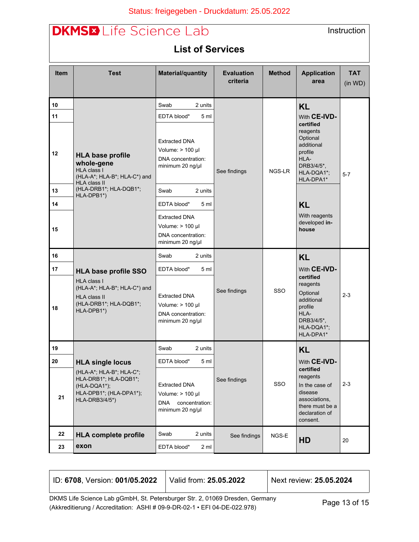## ٜ · KAI^ã^\*^à^} ÆÄÖI\*&\åæ {KAGÍ EEÍ EGGG

|             | <b>DKMSED</b> Life Science Lab<br>Instruction<br><b>List of Services</b>                                          |                                                                                                                       |              |        |                                                                                                                             |         |  |
|-------------|-------------------------------------------------------------------------------------------------------------------|-----------------------------------------------------------------------------------------------------------------------|--------------|--------|-----------------------------------------------------------------------------------------------------------------------------|---------|--|
| <b>Item</b> | <b>Method</b><br><b>Test</b><br><b>Material/quantity</b><br><b>Evaluation</b><br><b>Application</b><br><b>TAT</b> |                                                                                                                       |              |        |                                                                                                                             |         |  |
|             |                                                                                                                   |                                                                                                                       | criteria     |        | area                                                                                                                        | (in WD) |  |
| 10          |                                                                                                                   | Swab<br>2 units                                                                                                       |              |        | <b>KL</b>                                                                                                                   |         |  |
| 11<br>12    | <b>HLA base profile</b><br>whole-gene<br>HLA class I<br>(HLA-A*; HLA-B*; HLA-C*) and                              | EDTA blood*<br>5 <sub>m</sub><br><b>Extracted DNA</b><br>Volume: $> 100$ µl<br>DNA concentration:<br>minimum 20 ng/µl | See findings | NGS-LR | With CE-IVD-<br>certified<br>reagents<br>Optional<br>additional<br>profile<br>HLA-<br>DRB3/4/5*,<br>HLA-DQA1*;<br>HLA-DPA1* | $5 - 7$ |  |
| 13          | <b>HLA class II</b><br>(HLA-DRB1*; HLA-DQB1*;<br>HLA-DPB1*)                                                       | Swab<br>2 units                                                                                                       |              |        |                                                                                                                             |         |  |
| 14          |                                                                                                                   | EDTA blood*<br>5 ml                                                                                                   |              |        | <b>KL</b>                                                                                                                   |         |  |
| 15          |                                                                                                                   | <b>Extracted DNA</b><br>Volume: $> 100$ µl<br>DNA concentration:<br>minimum 20 ng/µl                                  |              |        | With reagents<br>developed in-<br>house                                                                                     |         |  |
| 16          |                                                                                                                   | Swab<br>2 units                                                                                                       |              |        | <b>KL</b>                                                                                                                   |         |  |
| 17          | <b>HLA base profile SSO</b>                                                                                       | EDTA blood*<br>5 ml                                                                                                   |              |        | With CE-IVD-<br>certified                                                                                                   |         |  |
| 18          | HLA class I<br>(HLA-A*; HLA-B*; HLA-C*) and<br><b>HLA class II</b><br>(HLA-DRB1*; HLA-DQB1*;<br>HLA-DPB1*)        | <b>Extracted DNA</b><br>Volume: $> 100$ µl<br>DNA concentration:<br>minimum 20 ng/µl                                  | See findings | SSO    | reagents<br>Optional<br>additional<br>profile<br>HLA-<br>DRB3/4/5*,<br>HLA-DQA1*;<br>HLA-DPA1*                              | $2 - 3$ |  |
| 19          |                                                                                                                   | 2 units<br>Swab                                                                                                       |              |        | <b>KL</b>                                                                                                                   |         |  |
| 20          | <b>HLA single locus</b>                                                                                           | EDTA blood*<br>5 ml                                                                                                   |              |        | With CE-IVD-                                                                                                                |         |  |
| 21          | (HLA-A*; HLA-B*; HLA-C*;<br>HLA-DRB1*; HLA-DQB1*;<br>$(HLA-DQA1*)$ ;<br>HLA-DPB1*; (HLA-DPA1*);<br>HLA-DRB3/4/5*) | Extracted DNA<br>Volume: $> 100$ µl<br>concentration:<br><b>DNA</b><br>minimum 20 ng/µl                               | See findings | SSO    | certified<br>reagents<br>In the case of<br>disease<br>associations,<br>there must be a<br>declaration of<br>consent.        | $2 - 3$ |  |
| 22          | <b>HLA complete profile</b>                                                                                       | Swab<br>2 units                                                                                                       | See findings | NGS-E  | HD                                                                                                                          | 20      |  |
| 23          | exon                                                                                                              | EDTA blood*<br>2 <sub>m1</sub>                                                                                        |              |        |                                                                                                                             |         |  |

| ID: 6708, Version: 001/05.2022 | Valid from: <b>25.05.2022</b> | Next review: 25.05.2024 |
|--------------------------------|-------------------------------|-------------------------|
|                                |                               |                         |

DKMS Life Science Lab gGmbH, St. Petersburger Str. 2, 01069 Dresden, Germany DKMS Life Science Lab gGmbH, St. Petersburger Str. 2, 01069 Dresden, Germany<br>(Akkreditierung / Accreditation: ASHI # 09-9-DR-02-1 • EFI 04-DE-022.978)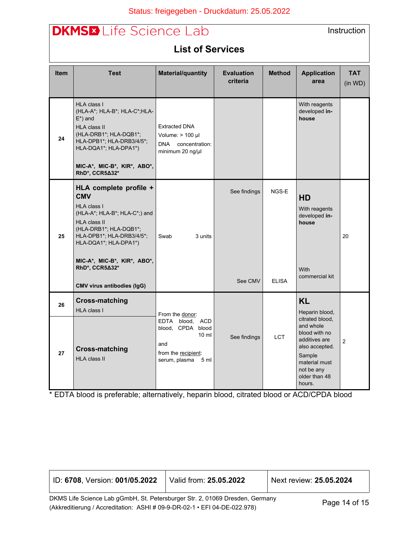| <b>DKMSED</b> Life Science Lab<br>Instruction |                                                                                                                                                                                                                                              |                                                                                                             |                               |               |                                                                                                                                                      |                       |
|-----------------------------------------------|----------------------------------------------------------------------------------------------------------------------------------------------------------------------------------------------------------------------------------------------|-------------------------------------------------------------------------------------------------------------|-------------------------------|---------------|------------------------------------------------------------------------------------------------------------------------------------------------------|-----------------------|
| <b>List of Services</b>                       |                                                                                                                                                                                                                                              |                                                                                                             |                               |               |                                                                                                                                                      |                       |
| <b>Item</b>                                   | <b>Test</b>                                                                                                                                                                                                                                  | <b>Material/quantity</b>                                                                                    | <b>Evaluation</b><br>criteria | <b>Method</b> | <b>Application</b><br>area                                                                                                                           | <b>TAT</b><br>(in WD) |
| 24                                            | <b>HLA class I</b><br>(HLA-A*; HLA-B*; HLA-C*; HLA-<br>$E^*$ ) and<br><b>HLA class II</b><br>(HLA-DRB1*; HLA-DQB1*;<br>HLA-DPB1*; HLA-DRB3/4/5*;<br>HLA-DQA1*; HLA-DPA1*)<br>MIC-A*, MIC-B*, KIR*, ABO*,<br>RhD*, CCR5∆32*                   | <b>Extracted DNA</b><br>Volume: $> 100$ µl<br>DNA concentration:<br>minimum 20 ng/µl                        |                               |               | With reagents<br>developed in-<br>house                                                                                                              |                       |
| 25                                            | HLA complete profile +<br><b>CMV</b><br>HLA class I<br>(HLA-A*; HLA-B*; HLA-C*;) and<br><b>HLA class II</b><br>(HLA-DRB1*; HLA-DQB1*;<br>HLA-DPB1*; HLA-DRB3/4/5*;<br>HLA-DQA1*; HLA-DPA1*)<br>MIC-A*, MIC-B*, KIR*, ABO*,<br>RhD*, CCR5∆32* | Swab<br>3 units                                                                                             | See findings                  | NGS-E         | <b>HD</b><br>With reagents<br>developed in-<br>house<br><b>With</b>                                                                                  | 20                    |
|                                               | <b>CMV virus antibodies (IgG)</b>                                                                                                                                                                                                            |                                                                                                             | See CMV                       | <b>ELISA</b>  | commercial kit                                                                                                                                       |                       |
| 26                                            | <b>Cross-matching</b><br>HLA class I                                                                                                                                                                                                         | From the donor:                                                                                             |                               |               | <b>KL</b><br>Heparin blood,                                                                                                                          |                       |
| 27                                            | <b>Cross-matching</b><br>HLA class II                                                                                                                                                                                                        | EDTA blood, ACD<br>blood, CPDA blood<br>$10 \mathrm{m}$<br>and<br>from the recipient:<br>serum, plasma 5 ml | See findings                  | <b>LCT</b>    | citrated blood,<br>and whole<br>blood with no<br>additives are<br>also accepted.<br>Sample<br>material must<br>not be any<br>older than 48<br>hours. | $\overline{c}$        |

\* EDTA blood is preferable; alternatively, heparin blood, citrated blood or ACD/CPDA blood

| ID: 6708, Version: 001/05.2022                                                             | Valid from: 25.05.2022 | Next review: 25.05.2024 |  |
|--------------------------------------------------------------------------------------------|------------------------|-------------------------|--|
| DKMS Life Science Lab gGmbH, St. Petersburger Str. 2, 01069 Dresden, Germany               |                        |                         |  |
| Page 14 of 15<br>(Akkreditierung / Accreditation: ASHI # 09-9-DR-02-1 • EFI 04-DE-022.978) |                        |                         |  |